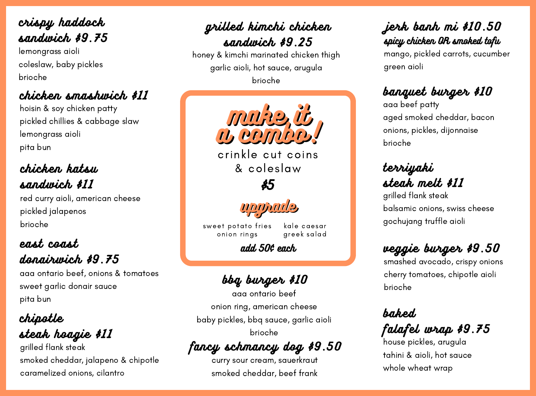terriyaki steak melt \$11

grilled kimchi chicken

sandwich \$9.25 honey & kimchi marinated chicken thigh garlic aioli, hot sauce, arugula brioche

baked

### falafel wrap \$9.75

chipotle steak hoagie \$11

balsamic onions, swiss cheese

grilled flank steak gochujang truffle aioli



mango, pickled carrots, cucumber green aioli

banquet burger \$10

aaa beef patty aged smoked cheddar, bacon onions, pickles, dijonnaise brioche

house pickles, arugula tahini & aioli, hot sauce whole wheat wrap

### veggie burger \$9.50

smashed avocado, crispy onions cherry tomatoes, chipotle aioli brioche

grilled flank steak smoked cheddar, jalapeno & chipotle caramelized onions, cilantro



crinkle cut coins & coleslaw

crispy haddock sandwich \$9.75

lemongrass aioli coleslaw, baby pickles brioche

### east coast

### donairwich \$9.75

aaa ontario beef, onions & tomatoes sweet garlic donair sauce pita bun

## chicken smashwich \$11

sweet potato fries onion rings kale caesar greek salad

hoisin & soy chicken patty pickled chillies & cabbage slaw lemongrass aioli pita bun

fancy schmancy dog \$9.50

curry sour cream, sauerkraut smoked cheddar, beef frank

# chicken katsu

sandwich \$11

red curry aioli, american cheese pickled jalapenos brioche

\$5



### add 50¢ each

bbq burger \$10

aaa ontario beef onion ring, american cheese baby pickles, bbq sauce, garlic aioli brioche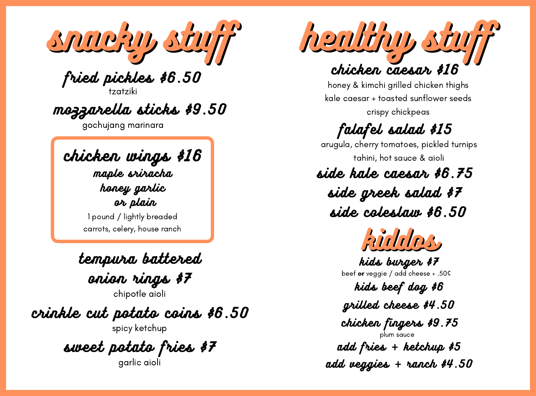1 pound / lightly breaded carrots, celery, house ranch

snacky stuff

fried pickles \$6.50

tzatziki

tempura battered

onion rings \$7

chipotle aioli

crinkle cut potato coins \$6.50

spicy ketchup

sweet potato fries \$7

garlic aioli

mozzarella sticks \$9.50

gochujang marinara



honey & kimchi grilled chicken thighs kale caesar + toasted sunflower seeds crispy chickpeas

chicken wings \$16 maple sriracha

## side kale caesar \$6.75

side greek salad \$7



kids burger \$7

beef or veggie / add cheese + .50¢

kids beef dog \$6

add fries + ketchup \$5

add veggies + ranch \$4.50

grilled cheese \$4.50

chicken fingers \$9.75

plum sauce

# falafel salad \$15

arugula, cherry tomatoes, pickled turnips tahini, hot sauce & aioli

honey garlic or plain

side coleslaw \$6.50